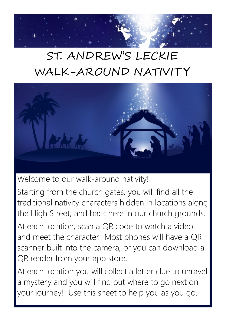## ST. ANDREW'S LECKIE WALK-AROUND NATIVIT Y



Welcome to our walk-around nativity!

Starting from the church gates, you will find all the traditional nativity characters hidden in locations along the High Street, and back here in our church grounds. At each location, scan a QR code to watch a video and meet the character. Most phones will have a QR

scanner built into the camera, or you can download a QR reader from your app store.

At each location you will collect a letter clue to unravel a mystery and you will find out where to go next on your journey! Use this sheet to help you as you go.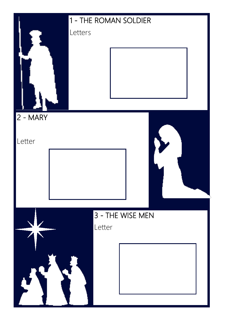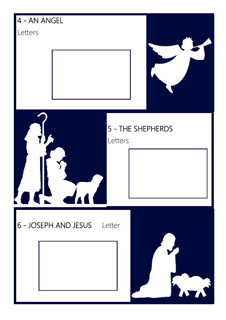